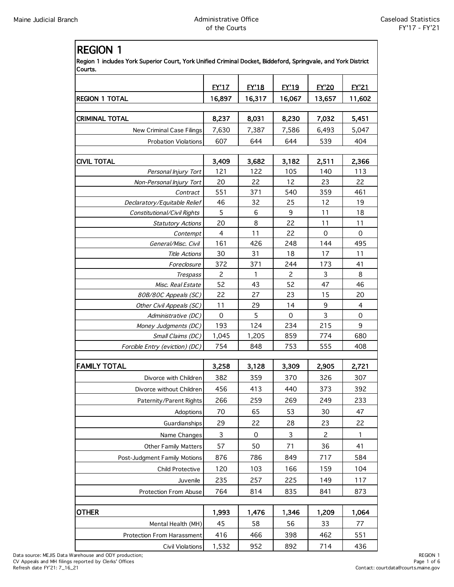| <b>REGION 1</b>                                                                                                          |                       |              |                |                    |                     |
|--------------------------------------------------------------------------------------------------------------------------|-----------------------|--------------|----------------|--------------------|---------------------|
| Region 1 includes York Superior Court, York Unified Criminal Docket, Biddeford, Springvale, and York District<br>Courts. |                       |              |                |                    |                     |
|                                                                                                                          | <b>EY'17</b>          | <b>EY'18</b> | <b>EY'19</b>   | <b>EY'20</b>       | <b>FY'21</b>        |
| <b>REGION 1 TOTAL</b>                                                                                                    | 16,897                | 16,317       | 16,067         | 13,657             | 11,602              |
|                                                                                                                          |                       |              |                |                    |                     |
| CRIMINAL TOTAL                                                                                                           | 8,237                 | 8,031        | 8,230          | 7,032              | 5,451               |
| New Criminal Case Filings                                                                                                | 7,630                 | 7,387        | 7,586          | 6,493              | 5,047               |
| <b>Probation Violations</b>                                                                                              | 607                   | 644          | 644            | 539                | 404                 |
|                                                                                                                          |                       |              |                |                    |                     |
| <b>CIVIL TOTAL</b>                                                                                                       | 3,409                 | 3,682        | 3,182          | 2,511              | 2,366               |
| Personal Injury Tort                                                                                                     | 121                   | 122          | 105            | 140                | 113                 |
| Non-Personal Injury Tort                                                                                                 | 20                    | 22           | 12             | 23                 | 22                  |
| Contract                                                                                                                 | 551                   | 371          | 540            | 359                | 461                 |
| Declaratory/Equitable Relief                                                                                             | 46                    | 32           | 25             | 12                 | 19                  |
| Constitutional/Civil Rights                                                                                              | 5                     | 6            | 9              | 11                 | 18                  |
| <b>Statutory Actions</b>                                                                                                 | 20                    | 8            | 22             | 11                 | 11                  |
| Contempt                                                                                                                 | $\overline{4}$<br>161 | 11<br>426    | 22<br>248      | $\mathbf 0$<br>144 | $\mathbf 0$<br>495  |
| General/Misc. Civil<br><b>Title Actions</b>                                                                              | 30                    | 31           | 18             | 17                 | 11                  |
| Foreclosure                                                                                                              | 372                   | 371          | 244            | 173                | 41                  |
| Trespass                                                                                                                 | $\overline{c}$        | 1            | $\overline{c}$ | 3                  | 8                   |
| Misc. Real Estate                                                                                                        | 52                    | 43           | 52             | 47                 | 46                  |
| 80B/80C Appeals (SC)                                                                                                     | 22                    | 27           | 23             | 15                 | 20                  |
| Other Civil Appeals (SC)                                                                                                 | 11                    | 29           | 14             | 9                  | $\overline{4}$      |
| Administrative (DC)                                                                                                      | 0                     | 5            | $\mathbf 0$    | 3                  | $\mathsf{O}\xspace$ |
| Money Judgments (DC)                                                                                                     | 193                   | 124          | 234            | 215                | 9                   |
| Small Claims (DC)                                                                                                        | 1,045                 | 1,205        | 859            | 774                | 680                 |
| Forcible Entry (eviction) (DC)                                                                                           | 754                   | 848          | 753            | 555                | 408                 |
| <b>FAMILY TOTAL</b>                                                                                                      | 3,258                 | 3,128        | 3,309          | 2,905              | 2,721               |
| Divorce with Children                                                                                                    | 382                   | 359          | 370            | 326                | 307                 |
| Divorce without Children                                                                                                 | 456                   | 413          | 440            | 373                | 392                 |
| Paternity/Parent Rights                                                                                                  | 266                   | 259          | 269            | 249                | 233                 |
| Adoptions                                                                                                                | 70                    | 65           | 53             | 30                 | 47                  |
| Guardianships                                                                                                            | 29                    | 22           | 28             | 23                 | 22                  |
| Name Changes                                                                                                             | 3                     | 0            | 3              | 2                  | 1                   |
|                                                                                                                          |                       |              |                |                    |                     |
| <b>Other Family Matters</b>                                                                                              | 57                    | 50           | 71             | 36                 | 41                  |
| Post-Judgment Family Motions                                                                                             | 876                   | 786          | 849            | 717                | 584                 |
| Child Protective                                                                                                         | 120                   | 103          | 166            | 159                | 104                 |
| Juvenile                                                                                                                 | 235                   | 257          | 225            | 149                | 117                 |
| Protection From Abuse                                                                                                    | 764                   | 814          | 835            | 841                | 873                 |
|                                                                                                                          |                       |              |                |                    |                     |
| OTHER                                                                                                                    | 1,993                 | 1,476        | 1,346          | 1,209              | 1,064               |
| Mental Health (MH)                                                                                                       | 45                    | 58           | 56             | 33                 | 77                  |
| <b>Protection From Harassment</b>                                                                                        | 416                   | 466          | 398            | 462                | 551                 |
| <b>Civil Violations</b>                                                                                                  | 1,532                 | 952          | 892            | 714                | 436                 |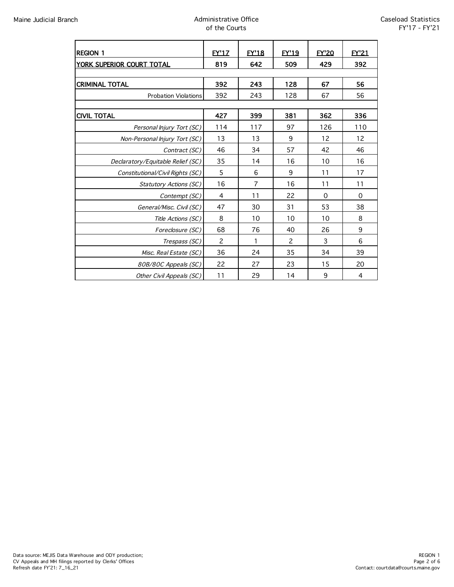| <b>REGION 1</b>                   | <b>FY'17</b>   | <b>EY'18</b>   | <b>FY'19</b> | <b>EY'20</b> | <b>FY'21</b>   |  |
|-----------------------------------|----------------|----------------|--------------|--------------|----------------|--|
| YORK SUPERIOR COURT TOTAL         | 819            | 642            | 509          | 429          | 392            |  |
|                                   |                |                |              |              |                |  |
| <b>CRIMINAL TOTAL</b>             | 392            | 243            | 128          | 67           | 56             |  |
| <b>Probation Violations</b>       | 392            | 243            | 128          | 67           | 56             |  |
|                                   |                |                |              |              |                |  |
| <b>CIVIL TOTAL</b>                | 427            | 399            | 381          | 362          | 336            |  |
| Personal Injury Tort (SC)         | 114            | 117            | 97           | 126          | 110            |  |
| Non-Personal Injury Tort (SC)     | 13             | 13             | 9            | 12           | 12             |  |
| Contract (SC)                     | 46             | 34             | 57           | 42           | 46             |  |
| Declaratory/Equitable Relief (SC) | 35             | 14             | 16           | 10           | 16             |  |
| Constitutional/Civil Rights (SC)  | 5              | 6              | 9            | 11           | 17             |  |
| <b>Statutory Actions (SC)</b>     | 16             | $\overline{7}$ | 16           | 11           | 11             |  |
| Contempt (SC)                     | 4              | 11             | 22           | 0            | $\mathbf 0$    |  |
| General/Misc. Civil (SC)          | 47             | 30             | 31           | 53           | 38             |  |
| Title Actions (SC)                | 8              | 10             | 10           | 10           | 8              |  |
| Foreclosure (SC)                  | 68             | 76             | 40           | 26           | 9              |  |
| Trespass (SC)                     | $\overline{c}$ | 1              | 2            | 3            | 6              |  |
| Misc. Real Estate (SC)            | 36             | 24             | 35           | 34           | 39             |  |
| 80B/80C Appeals (SC)              | 22             | 27             | 23           | 15           | 20             |  |
| Other Civil Appeals (SC)          | 11             | 29             | 14           | 9            | $\overline{4}$ |  |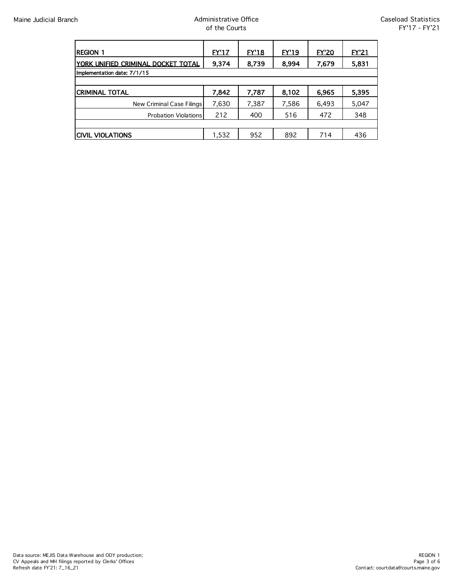| <b>REGION 1</b>                     | <u>EY'17</u> | <b>EY'18</b> | EY'19 | <u>EY'20</u> | <b>EY'21</b> |  |
|-------------------------------------|--------------|--------------|-------|--------------|--------------|--|
| IYORK UNIFIED CRIMINAL DOCKET TOTAL | 9,374        | 8,739        | 8.994 | 7,679        | 5,831        |  |
| Implementation date: 7/1/15         |              |              |       |              |              |  |
|                                     |              |              |       |              |              |  |
| <b>CRIMINAL TOTAL</b>               | 7,842        | 7,787        | 8,102 | 6,965        | 5,395        |  |
| New Criminal Case Filings           | 7,630        | 7,387        | 7,586 | 6,493        | 5,047        |  |
| <b>Probation Violations</b>         | 212          | 400          | 516   | 472          | 348          |  |
|                                     |              |              |       |              |              |  |
| <b>CIVIL VIOLATIONS</b>             | 1,532        | 952          | 892   | 714          | 436          |  |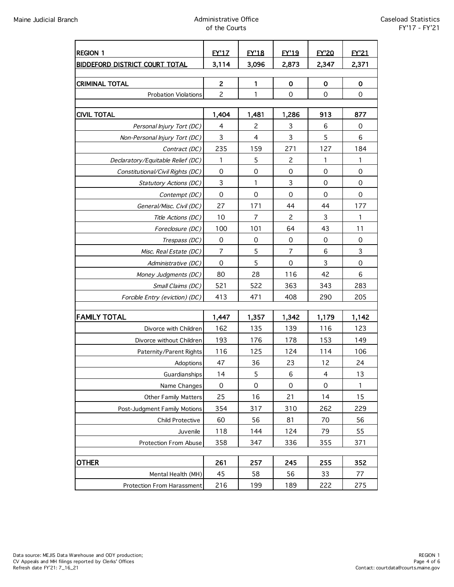| <b>REGION 1</b><br><b>BIDDEFORD DISTRICT COURT TOTAL</b> | <b>EY'17</b><br>3,114 | <b>EY'18</b><br>3,096 | <b>EY'19</b><br>2,873 | <b>EY'20</b><br>2,347 | <b>EY'21</b><br>2,371 |
|----------------------------------------------------------|-----------------------|-----------------------|-----------------------|-----------------------|-----------------------|
|                                                          |                       |                       |                       |                       |                       |
| <b>CRIMINAL TOTAL</b>                                    | 2                     | 1                     | $\mathbf 0$           | 0                     | 0                     |
| <b>Probation Violations</b>                              | $\overline{c}$        | 1                     | $\mathbf 0$           | 0                     | $\mathbf 0$           |
|                                                          |                       |                       |                       |                       |                       |
| <b>CIVIL TOTAL</b>                                       | 1,404                 | 1,481                 | 1,286                 | 913                   | 877                   |
| Personal Injury Tort (DC)                                | 4                     | 2                     | 3                     | 6                     | 0                     |
| Non-Personal Injury Tort (DC)                            | 3                     | $\overline{4}$        | 3                     | 5                     | 6                     |
| Contract (DC)                                            | 235                   | 159                   | 271                   | 127                   | 184                   |
| Declaratory/Equitable Relief (DC)                        | 1                     | 5                     | $\overline{c}$        | 1                     | 1                     |
| Constitutional/Civil Rights (DC)                         | $\mathbf 0$           | $\mathbf 0$           | $\mathbf 0$           | 0                     | $\mathbf 0$           |
| Statutory Actions (DC)                                   | 3                     | 1                     | 3                     | 0                     | $\mathbf 0$           |
| Contempt (DC)                                            | $\mathbf 0$           | $\mathbf 0$           | $\mathbf 0$           | 0                     | $\mathbf 0$           |
| General/Misc. Civil (DC)                                 | 27                    | 171                   | 44                    | 44                    | 177                   |
| Title Actions (DC)                                       | 10                    | $\overline{7}$        | 2                     | 3                     | 1                     |
| Foreclosure (DC)                                         | 100                   | 101                   | 64                    | 43                    | 11                    |
| Trespass (DC)                                            | 0                     | 0                     | 0                     | 0                     | 0                     |
| Misc. Real Estate (DC)                                   | $\overline{7}$        | 5                     | $\overline{7}$        | 6                     | 3                     |
| Administrative (DC)                                      | $\mathbf 0$           | 5                     | $\mathbf 0$           | 3                     | $\mathbf 0$           |
| Money Judgments (DC)                                     | 80                    | 28                    | 116                   | 42                    | 6                     |
| Small Claims (DC)                                        | 521                   | 522                   | 363                   | 343                   | 283                   |
| Forcible Entry (eviction) (DC)                           | 413                   | 471                   | 408                   | 290                   | 205                   |
|                                                          |                       |                       |                       |                       |                       |
| <b>FAMILY TOTAL</b>                                      | 1,447                 | 1,357                 | 1,342                 | 1,179                 | 1,142                 |
| Divorce with Children                                    | 162                   | 135                   | 139                   | 116                   | 123                   |
| Divorce without Children                                 | 193                   | 176                   | 178                   | 153                   | 149                   |
| Paternity/Parent Rights                                  | 116                   | 125                   | 124                   | 114                   | 106                   |
| Adoptions                                                | 47                    | 36                    | 23                    | 12                    | 24                    |
| Guardianships                                            | 14                    | 5                     | 6                     | 4                     | 13                    |
| Name Changes                                             | 0                     | $\mathbf 0$           | $\mathbf 0$           | 0                     | 1                     |
| <b>Other Family Matters</b>                              | 25                    | 16                    | 21                    | 14                    | 15                    |
| Post-Judgment Family Motions                             | 354                   | 317                   | 310                   | 262                   | 229                   |
| Child Protective                                         | 60                    | 56                    | 81                    | 70                    | 56                    |
| Juvenile                                                 | 118                   | 144                   | 124                   | 79                    | 55                    |
| Protection From Abuse                                    | 358                   | 347                   | 336                   | 355                   | 371                   |
|                                                          |                       |                       |                       |                       |                       |
| OTHER                                                    | 261                   | 257                   | 245                   | 255                   | 352                   |
| Mental Health (MH)                                       | 45                    | 58                    | 56                    | 33                    | 77                    |
| Protection From Harassment                               | 216                   | 199                   | 189                   | 222                   | 275                   |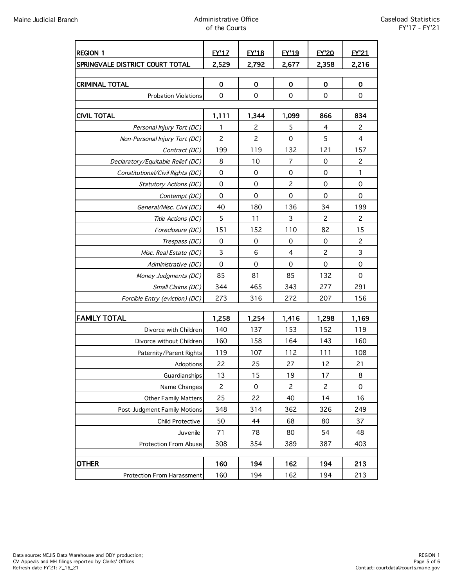| <b>REGION 1</b>                           | <b>EY'17</b>             | <b>EY'18</b>                     | <b>EY'19</b>     | <b>FY'20</b>   | <b>EY'21</b>                     |
|-------------------------------------------|--------------------------|----------------------------------|------------------|----------------|----------------------------------|
| SPRINGVALE DISTRICT COURT TOTAL           | 2,529                    | 2,792                            | 2,677            | 2,358          | 2,216                            |
|                                           |                          |                                  |                  |                |                                  |
| <b>CRIMINAL TOTAL</b>                     | $\mathbf 0$              | $\mathbf 0$                      | $\mathbf 0$      | 0              | $\mathbf 0$                      |
| <b>Probation Violations</b>               | $\mathbf 0$              | $\Omega$                         | $\mathbf 0$      | 0              | $\mathbf 0$                      |
|                                           |                          |                                  |                  |                |                                  |
| <b>CIVIL TOTAL</b>                        | 1,111                    | 1,344                            | 1,099            | 866            | 834                              |
| Personal Injury Tort (DC)                 | 1<br>$\overline{c}$      | $\overline{c}$<br>$\overline{c}$ | 5<br>$\mathbf 0$ | 4<br>5         | $\overline{c}$<br>$\overline{4}$ |
| Non-Personal Injury Tort (DC)             | 199                      | 119                              | 132              | 121            | 157                              |
| Contract (DC)                             |                          | 10                               | $\overline{7}$   |                | $\overline{c}$                   |
| Declaratory/Equitable Relief (DC)         | 8<br>$\mathsf{O}\xspace$ | $\mathbf 0$                      | $\mathbf 0$      | 0<br>0         | 1                                |
| Constitutional/Civil Rights (DC)          | 0                        | 0                                | $\overline{c}$   | 0              | $\mathbf 0$                      |
| Statutory Actions (DC)                    | $\mathbf 0$              | $\Omega$                         | $\mathbf 0$      | 0              | $\Omega$                         |
| Contempt (DC)<br>General/Misc. Civil (DC) | 40                       | 180                              | 136              | 34             | 199                              |
| Title Actions (DC)                        | 5                        | 11                               | 3                | $\overline{c}$ | $\overline{c}$                   |
| Foreclosure (DC)                          | 151                      | 152                              | 110              | 82             | 15                               |
| Trespass (DC)                             | 0                        | 0                                | 0                | 0              | $\overline{c}$                   |
| Misc. Real Estate (DC)                    | $\mathsf 3$              | 6                                | $\overline{4}$   | $\overline{c}$ | $\mathsf{3}$                     |
| Administrative (DC)                       | $\mathbf 0$              | 0                                | $\mathbf 0$      | 0              | $\mathbf 0$                      |
| Money Judgments (DC)                      | 85                       | 81                               | 85               | 132            | $\mathbf 0$                      |
| Small Claims (DC)                         | 344                      | 465                              | 343              | 277            | 291                              |
| Forcible Entry (eviction) (DC)            | 273                      | 316                              | 272              | 207            | 156                              |
|                                           |                          |                                  |                  |                |                                  |
| <b>FAMILY TOTAL</b>                       | 1,258                    | 1,254                            | 1,416            | 1,298          | 1,169                            |
| Divorce with Children                     | 140                      | 137                              | 153              | 152            | 119                              |
| Divorce without Children                  | 160                      | 158                              | 164              | 143            | 160                              |
| Paternity/Parent Rights                   | 119                      | 107                              | 112              | 111            | 108                              |
| Adoptions                                 | 22                       | 25                               | 27               | 12             | 21                               |
| Guardianships                             | 13                       | 15                               | 19               | 17             | 8                                |
| Name Changes                              | $\overline{c}$           | $\mathbf 0$                      | $\overline{c}$   | $\overline{c}$ | $\mathbf 0$                      |
| Other Family Matters                      | 25                       | 22                               | 40               | 14             | 16                               |
| Post-Judgment Family Motions              | 348                      | 314                              | 362              | 326            | 249                              |
| Child Protective                          | 50                       | 44                               | 68               | 80             | 37                               |
| Juvenile                                  | 71                       | 78                               | 80               | 54             | 48                               |
| Protection From Abuse                     | 308                      | 354                              | 389              | 387            | 403                              |
|                                           |                          |                                  |                  |                |                                  |
| <b>OTHER</b>                              | 160                      | 194                              | 162              | 194            | 213                              |
| Protection From Harassment                | 160                      | 194                              | 162              | 194            | 213                              |